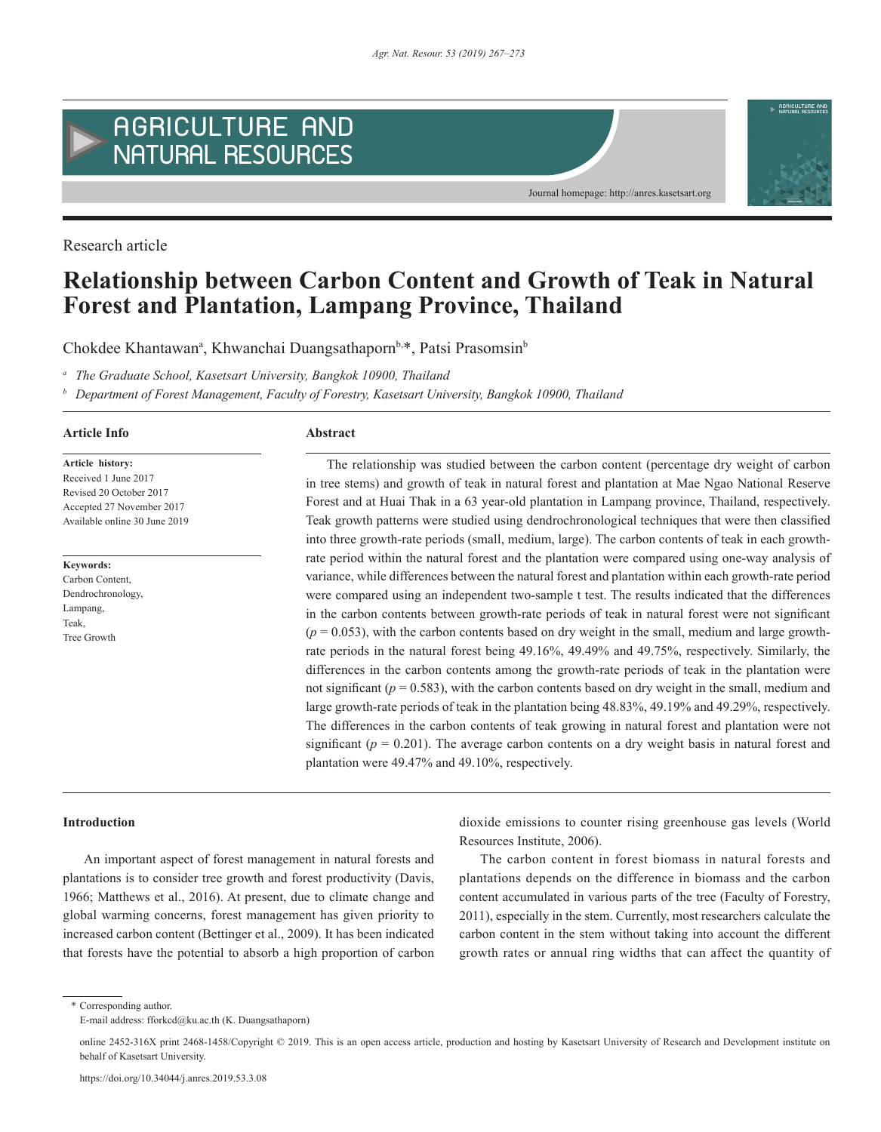

Research article

# **Relationship between Carbon Content and Growth of Teak in Natural Forest and Plantation, Lampang Province, Thailand**

Chokdee Khantawan<sup>a</sup>, Khwanchai Duangsathaporn<sup>b,\*</sup>, Patsi Prasomsin<sup>b</sup>

*<sup>a</sup> The Graduate School, Kasetsart University, Bangkok 10900, Thailand*

*<sup>b</sup> Department of Forest Management, Faculty of Forestry, Kasetsart University, Bangkok 10900, Thailand*

## **Article Info Abstract**

**Article history:** Received 1 June 2017 Revised 20 October 2017 Accepted 27 November 2017 Available online 30 June 2019

**Keywords:** Carbon Content, Dendrochronology, Lampang, Teak, Tree Growth

The relationship was studied between the carbon content (percentage dry weight of carbon in tree stems) and growth of teak in natural forest and plantation at Mae Ngao National Reserve Forest and at Huai Thak in a 63 year-old plantation in Lampang province, Thailand, respectively. Teak growth patterns were studied using dendrochronological techniques that were then classified into three growth-rate periods (small, medium, large). The carbon contents of teak in each growthrate period within the natural forest and the plantation were compared using one-way analysis of variance, while differences between the natural forest and plantation within each growth-rate period were compared using an independent two-sample t test. The results indicated that the differences in the carbon contents between growth-rate periods of teak in natural forest were not significant  $(p = 0.053)$ , with the carbon contents based on dry weight in the small, medium and large growthrate periods in the natural forest being 49.16%, 49.49% and 49.75%, respectively. Similarly, the differences in the carbon contents among the growth-rate periods of teak in the plantation were not significant ( $p = 0.583$ ), with the carbon contents based on dry weight in the small, medium and large growth-rate periods of teak in the plantation being 48.83%, 49.19% and 49.29%, respectively. The differences in the carbon contents of teak growing in natural forest and plantation were not significant ( $p = 0.201$ ). The average carbon contents on a dry weight basis in natural forest and plantation were 49.47% and 49.10%, respectively.

# **Introduction**

An important aspect of forest management in natural forests and plantations is to consider tree growth and forest productivity (Davis, 1966; Matthews et al., 2016). At present, due to climate change and global warming concerns, forest management has given priority to increased carbon content (Bettinger et al., 2009). It has been indicated that forests have the potential to absorb a high proportion of carbon dioxide emissions to counter rising greenhouse gas levels (World Resources Institute, 2006).

The carbon content in forest biomass in natural forests and plantations depends on the difference in biomass and the carbon content accumulated in various parts of the tree (Faculty of Forestry, 2011), especially in the stem. Currently, most researchers calculate the carbon content in the stem without taking into account the different growth rates or annual ring widths that can affect the quantity of

\* Corresponding author.

E-mail address: fforkcd@ku.ac.th (K. Duangsathaporn)

online 2452-316X print 2468-1458/Copyright © 2019. This is an open access article, production and hosting by Kasetsart University of Research and Development institute on behalf of Kasetsart University.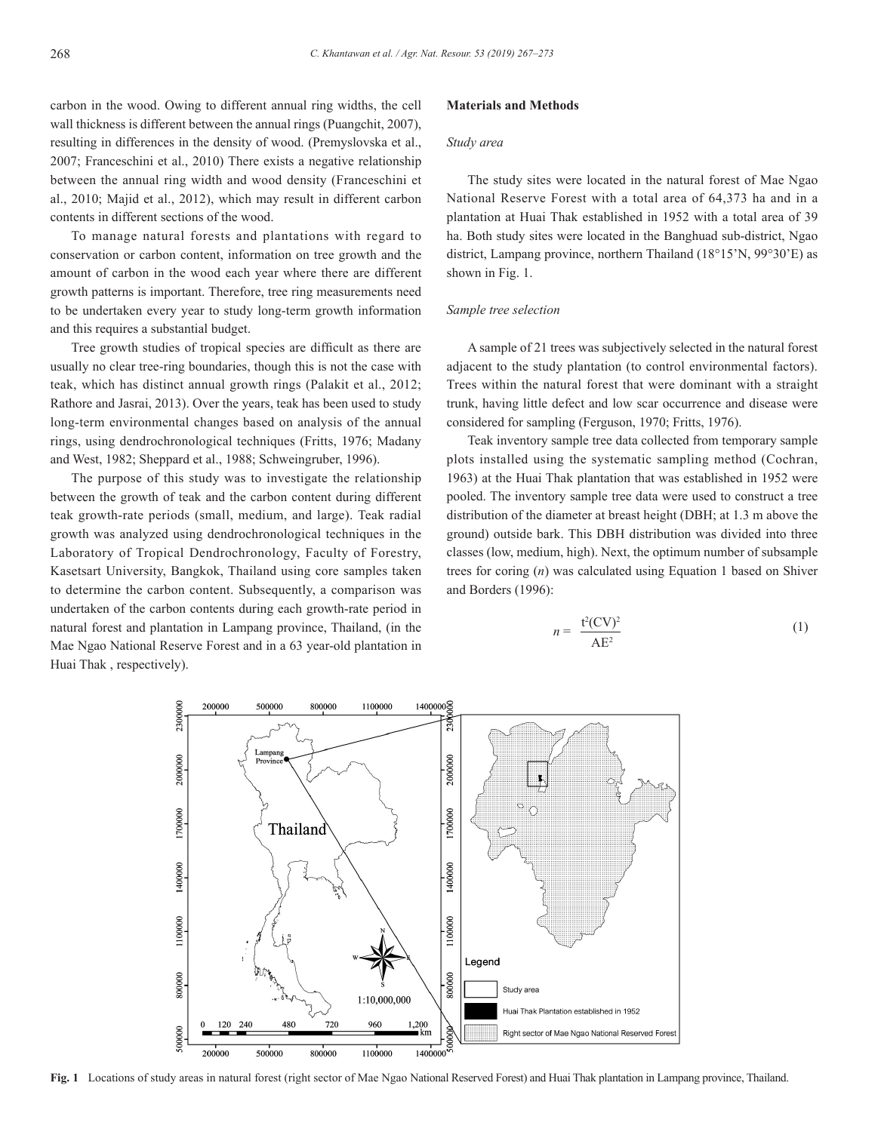carbon in the wood. Owing to different annual ring widths, the cell wall thickness is different between the annual rings (Puangchit, 2007), resulting in differences in the density of wood. (Premyslovska et al., 2007; Franceschini et al., 2010) There exists a negative relationship between the annual ring width and wood density (Franceschini et al., 2010; Majid et al., 2012), which may result in different carbon contents in different sections of the wood.

To manage natural forests and plantations with regard to conservation or carbon content, information on tree growth and the amount of carbon in the wood each year where there are different growth patterns is important. Therefore, tree ring measurements need to be undertaken every year to study long-term growth information and this requires a substantial budget.

Tree growth studies of tropical species are difficult as there are usually no clear tree-ring boundaries, though this is not the case with teak, which has distinct annual growth rings (Palakit et al., 2012; Rathore and Jasrai, 2013). Over the years, teak has been used to study long-term environmental changes based on analysis of the annual rings, using dendrochronological techniques (Fritts, 1976; Madany and West, 1982; Sheppard et al., 1988; Schweingruber, 1996).

The purpose of this study was to investigate the relationship between the growth of teak and the carbon content during different teak growth-rate periods (small, medium, and large). Teak radial growth was analyzed using dendrochronological techniques in the Laboratory of Tropical Dendrochronology, Faculty of Forestry, Kasetsart University, Bangkok, Thailand using core samples taken to determine the carbon content. Subsequently, a comparison was undertaken of the carbon contents during each growth-rate period in natural forest and plantation in Lampang province, Thailand, (in the Mae Ngao National Reserve Forest and in a 63 year-old plantation in Huai Thak , respectively).

#### **Materials and Methods**

# *Study area*

The study sites were located in the natural forest of Mae Ngao National Reserve Forest with a total area of 64,373 ha and in a plantation at Huai Thak established in 1952 with a total area of 39 ha. Both study sites were located in the Banghuad sub-district, Ngao district, Lampang province, northern Thailand (18°15'N, 99°30'E) as shown in Fig. 1.

## *Sample tree selection*

A sample of 21 trees was subjectively selected in the natural forest adjacent to the study plantation (to control environmental factors). Trees within the natural forest that were dominant with a straight trunk, having little defect and low scar occurrence and disease were considered for sampling (Ferguson, 1970; Fritts, 1976).

Teak inventory sample tree data collected from temporary sample plots installed using the systematic sampling method (Cochran, 1963) at the Huai Thak plantation that was established in 1952 were pooled. The inventory sample tree data were used to construct a tree distribution of the diameter at breast height (DBH; at 1.3 m above the ground) outside bark. This DBH distribution was divided into three classes (low, medium, high). Next, the optimum number of subsample trees for coring (*n*) was calculated using Equation 1 based on Shiver and Borders (1996):

$$
n = \frac{\mathfrak{t}^2 (CV)^2}{AE^2} \tag{1}
$$



**Fig. 1** Locations of study areas in natural forest (right sector of Mae Ngao National Reserved Forest) and Huai Thak plantation in Lampang province, Thailand.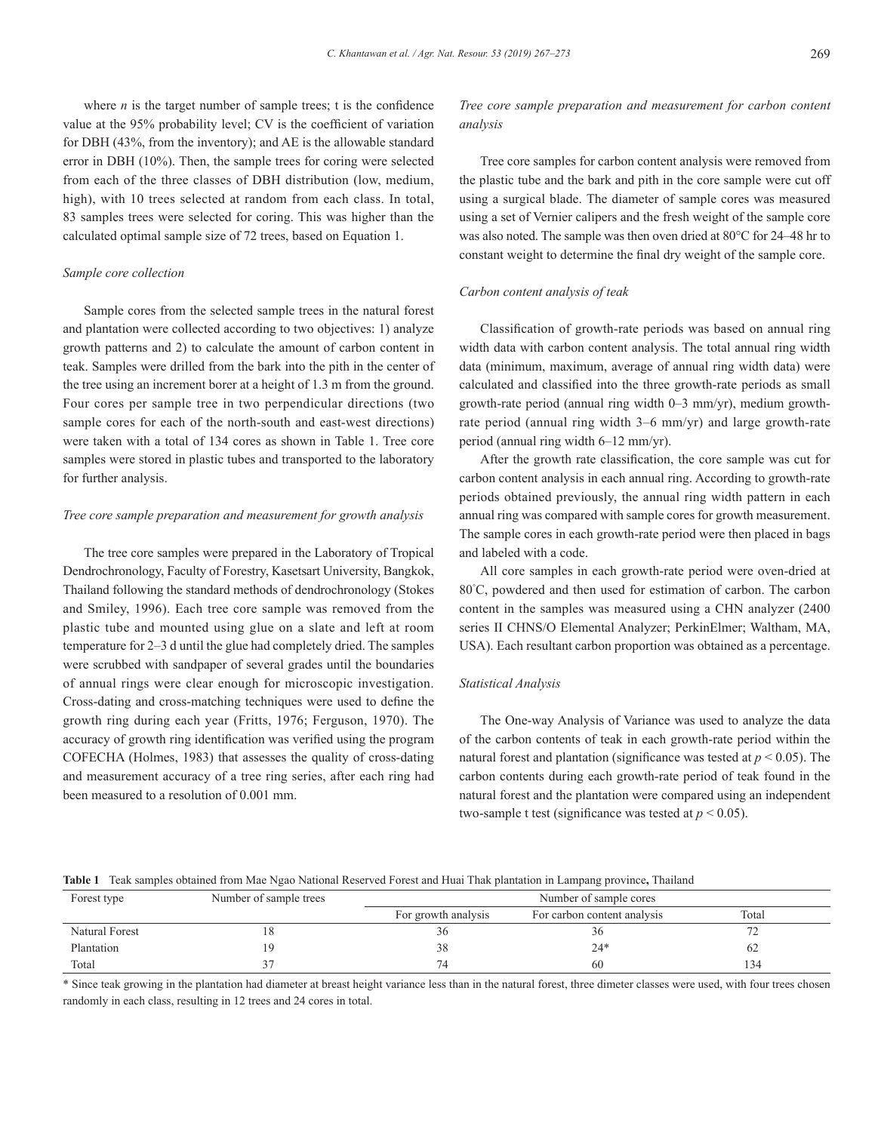where  $n$  is the target number of sample trees; t is the confidence value at the 95% probability level; CV is the coefficient of variation for DBH (43%, from the inventory); and AE is the allowable standard error in DBH (10%). Then, the sample trees for coring were selected from each of the three classes of DBH distribution (low, medium, high), with 10 trees selected at random from each class. In total, 83 samples trees were selected for coring. This was higher than the calculated optimal sample size of 72 trees, based on Equation 1.

#### *Sample core collection*

Sample cores from the selected sample trees in the natural forest and plantation were collected according to two objectives: 1) analyze growth patterns and 2) to calculate the amount of carbon content in teak. Samples were drilled from the bark into the pith in the center of the tree using an increment borer at a height of 1.3 m from the ground. Four cores per sample tree in two perpendicular directions (two sample cores for each of the north-south and east-west directions) were taken with a total of 134 cores as shown in Table 1. Tree core samples were stored in plastic tubes and transported to the laboratory for further analysis.

#### *Tree core sample preparation and measurement for growth analysis*

The tree core samples were prepared in the Laboratory of Tropical Dendrochronology, Faculty of Forestry, Kasetsart University, Bangkok, Thailand following the standard methods of dendrochronology (Stokes and Smiley, 1996). Each tree core sample was removed from the plastic tube and mounted using glue on a slate and left at room temperature for 2–3 d until the glue had completely dried. The samples were scrubbed with sandpaper of several grades until the boundaries of annual rings were clear enough for microscopic investigation. Cross-dating and cross-matching techniques were used to define the growth ring during each year (Fritts, 1976; Ferguson, 1970). The accuracy of growth ring identification was verified using the program COFECHA (Holmes, 1983) that assesses the quality of cross-dating and measurement accuracy of a tree ring series, after each ring had been measured to a resolution of 0.001 mm.

# *Tree core sample preparation and measurement for carbon content analysis*

Tree core samples for carbon content analysis were removed from the plastic tube and the bark and pith in the core sample were cut off using a surgical blade. The diameter of sample cores was measured using a set of Vernier calipers and the fresh weight of the sample core was also noted. The sample was then oven dried at 80°C for 24–48 hr to constant weight to determine the final dry weight of the sample core.

## *Carbon content analysis of teak*

Classification of growth-rate periods was based on annual ring width data with carbon content analysis. The total annual ring width data (minimum, maximum, average of annual ring width data) were calculated and classified into the three growth-rate periods as small growth-rate period (annual ring width 0–3 mm/yr), medium growthrate period (annual ring width 3–6 mm/yr) and large growth-rate period (annual ring width 6–12 mm/yr).

After the growth rate classification, the core sample was cut for carbon content analysis in each annual ring. According to growth-rate periods obtained previously, the annual ring width pattern in each annual ring was compared with sample cores for growth measurement. The sample cores in each growth-rate period were then placed in bags and labeled with a code.

All core samples in each growth-rate period were oven-dried at 80° C, powdered and then used for estimation of carbon. The carbon content in the samples was measured using a CHN analyzer (2400 series II CHNS/O Elemental Analyzer; PerkinElmer; Waltham, MA, USA). Each resultant carbon proportion was obtained as a percentage.

# *Statistical Analysis*

The One-way Analysis of Variance was used to analyze the data of the carbon contents of teak in each growth-rate period within the natural forest and plantation (significance was tested at  $p \le 0.05$ ). The carbon contents during each growth-rate period of teak found in the natural forest and the plantation were compared using an independent two-sample t test (significance was tested at  $p < 0.05$ ).

#### **Table 1** Teak samples obtained from Mae Ngao National Reserved Forest and Huai Thak plantation in Lampang province**,** Thailand

| Forest type    | Number of sample trees | Number of sample cores |                             |       |  |
|----------------|------------------------|------------------------|-----------------------------|-------|--|
|                |                        | For growth analysis    | For carbon content analysis | Total |  |
| Natural Forest | Ι8                     |                        | 30                          |       |  |
| Plantation     | 19                     |                        | $24*$                       | 62    |  |
| Total          |                        |                        | 60                          | 134   |  |

\* Since teak growing in the plantation had diameter at breast height variance less than in the natural forest, three dimeter classes were used, with four trees chosen randomly in each class, resulting in 12 trees and 24 cores in total.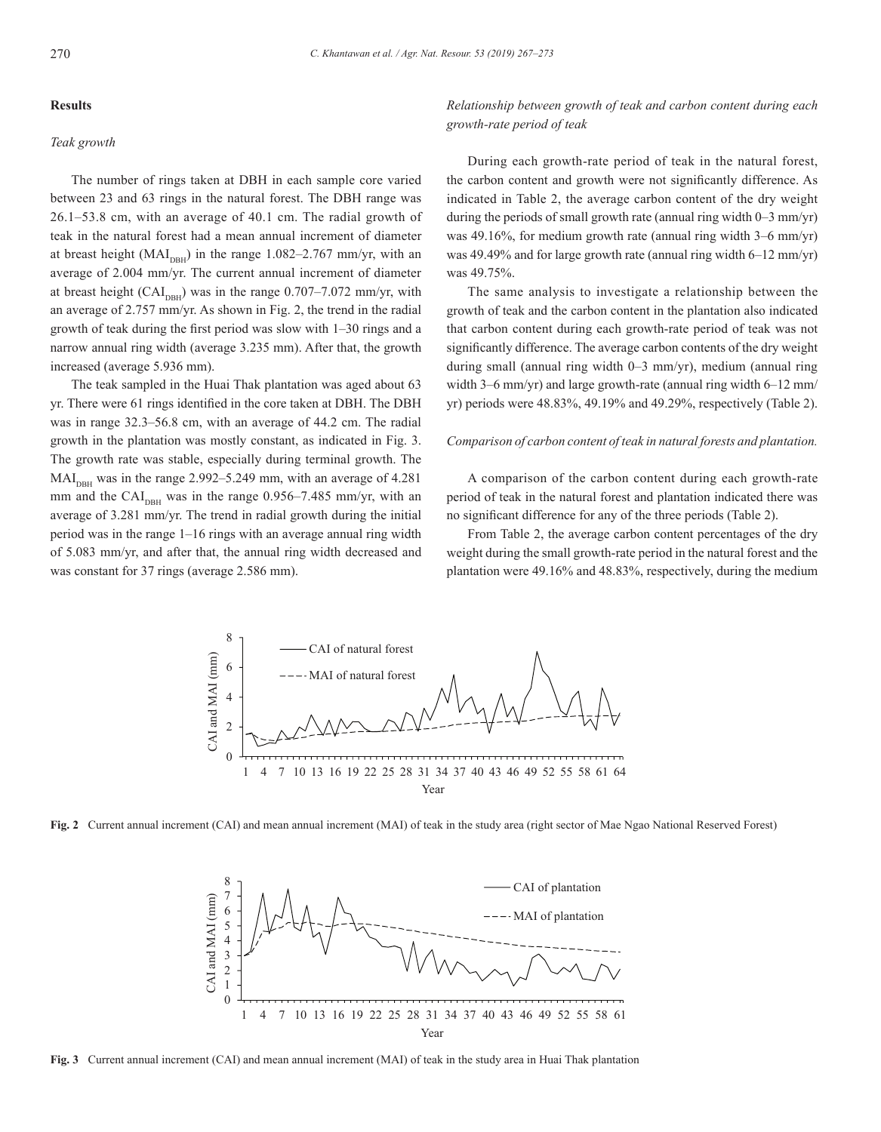#### **Results**

#### *Teak growth*

The number of rings taken at DBH in each sample core varied between 23 and 63 rings in the natural forest. The DBH range was 26.1–53.8 cm, with an average of 40.1 cm. The radial growth of teak in the natural forest had a mean annual increment of diameter at breast height  $(MAI<sub>DBH</sub>)$  in the range 1.082–2.767 mm/yr, with an average of 2.004 mm/yr. The current annual increment of diameter at breast height  $(CAI_{DBH})$  was in the range 0.707–7.072 mm/yr, with an average of 2.757 mm/yr. As shown in Fig. 2, the trend in the radial growth of teak during the first period was slow with 1–30 rings and a narrow annual ring width (average 3.235 mm). After that, the growth increased (average 5.936 mm).

The teak sampled in the Huai Thak plantation was aged about 63 yr. There were 61 rings identified in the core taken at DBH. The DBH was in range 32.3–56.8 cm, with an average of 44.2 cm. The radial growth in the plantation was mostly constant, as indicated in Fig. 3. The growth rate was stable, especially during terminal growth. The  $MAI<sub>DBH</sub>$  was in the range 2.992–5.249 mm, with an average of 4.281 mm and the  $CAI<sub>DBH</sub>$  was in the range 0.956–7.485 mm/yr, with an average of 3.281 mm/yr. The trend in radial growth during the initial period was in the range 1–16 rings with an average annual ring width of 5.083 mm/yr, and after that, the annual ring width decreased and was constant for 37 rings (average 2.586 mm).

*Relationship between growth of teak and carbon content during each growth-rate period of teak*

During each growth-rate period of teak in the natural forest, the carbon content and growth were not significantly difference. As indicated in Table 2, the average carbon content of the dry weight during the periods of small growth rate (annual ring width 0–3 mm/yr) was 49.16%, for medium growth rate (annual ring width 3–6 mm/yr) was 49.49% and for large growth rate (annual ring width 6–12 mm/yr) was 49.75%.

The same analysis to investigate a relationship between the growth of teak and the carbon content in the plantation also indicated that carbon content during each growth-rate period of teak was not significantly difference. The average carbon contents of the dry weight during small (annual ring width 0–3 mm/yr), medium (annual ring width 3–6 mm/yr) and large growth-rate (annual ring width 6–12 mm/ yr) periods were 48.83%, 49.19% and 49.29%, respectively (Table 2).

#### *Comparison of carbon content of teak in natural forests and plantation.*

A comparison of the carbon content during each growth-rate period of teak in the natural forest and plantation indicated there was no significant difference for any of the three periods (Table 2).

From Table 2, the average carbon content percentages of the dry weight during the small growth-rate period in the natural forest and the plantation were 49.16% and 48.83%, respectively, during the medium



**Fig. 2** Current annual increment (CAI) and mean annual increment (MAI) of teak in the study area (right sector of Mae Ngao National Reserved Forest)



**Fig. 3** Current annual increment (CAI) and mean annual increment (MAI) of teak in the study area in Huai Thak plantation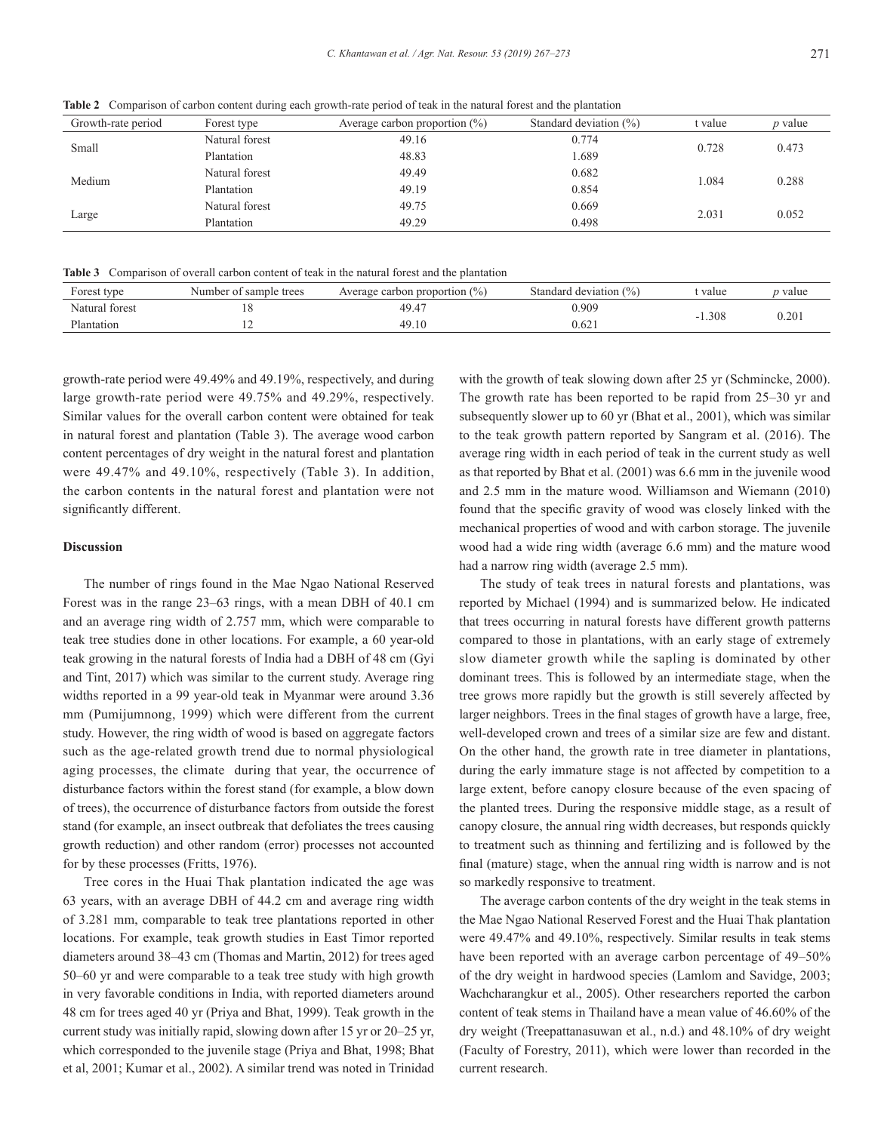**Table 2** Comparison of carbon content during each growth-rate period of teak in the natural forest and the plantation

**Table 3** Comparison of overall carbon content of teak in the natural forest and the plantation

| Forest type    | Number of sample trees | Average carbon proportion $(\%)$ | Standard deviation (%) | : value | value / |
|----------------|------------------------|----------------------------------|------------------------|---------|---------|
| Natural forest |                        | 49.4                             | 0.909                  | .308    | 0.20.   |
| Plantation     |                        | 49.10                            | 0.621                  |         |         |

growth-rate period were 49.49% and 49.19%, respectively, and during large growth-rate period were 49.75% and 49.29%, respectively. Similar values for the overall carbon content were obtained for teak in natural forest and plantation (Table 3). The average wood carbon content percentages of dry weight in the natural forest and plantation were 49.47% and 49.10%, respectively (Table 3). In addition, the carbon contents in the natural forest and plantation were not significantly different.

# **Discussion**

Large

The number of rings found in the Mae Ngao National Reserved Forest was in the range 23–63 rings, with a mean DBH of 40.1 cm and an average ring width of 2.757 mm, which were comparable to teak tree studies done in other locations. For example, a 60 year-old teak growing in the natural forests of India had a DBH of 48 cm (Gyi and Tint, 2017) which was similar to the current study. Average ring widths reported in a 99 year-old teak in Myanmar were around 3.36 mm (Pumijumnong, 1999) which were different from the current study. However, the ring width of wood is based on aggregate factors such as the age-related growth trend due to normal physiological aging processes, the climate during that year, the occurrence of disturbance factors within the forest stand (for example, a blow down of trees), the occurrence of disturbance factors from outside the forest stand (for example, an insect outbreak that defoliates the trees causing growth reduction) and other random (error) processes not accounted for by these processes (Fritts, 1976).

Tree cores in the Huai Thak plantation indicated the age was 63 years, with an average DBH of 44.2 cm and average ring width of 3.281 mm, comparable to teak tree plantations reported in other locations. For example, teak growth studies in East Timor reported diameters around 38–43 cm (Thomas and Martin, 2012) for trees aged 50–60 yr and were comparable to a teak tree study with high growth in very favorable conditions in India, with reported diameters around 48 cm for trees aged 40 yr (Priya and Bhat, 1999). Teak growth in the current study was initially rapid, slowing down after 15 yr or 20–25 yr, which corresponded to the juvenile stage (Priya and Bhat, 1998; Bhat et al, 2001; Kumar et al., 2002). A similar trend was noted in Trinidad with the growth of teak slowing down after 25 yr (Schmincke, 2000). The growth rate has been reported to be rapid from 25–30 yr and subsequently slower up to 60 yr (Bhat et al., 2001), which was similar to the teak growth pattern reported by Sangram et al. (2016). The average ring width in each period of teak in the current study as well as that reported by Bhat et al. (2001) was 6.6 mm in the juvenile wood and 2.5 mm in the mature wood. Williamson and Wiemann (2010) found that the specific gravity of wood was closely linked with the mechanical properties of wood and with carbon storage. The juvenile wood had a wide ring width (average 6.6 mm) and the mature wood had a narrow ring width (average 2.5 mm).

The study of teak trees in natural forests and plantations, was reported by Michael (1994) and is summarized below. He indicated that trees occurring in natural forests have different growth patterns compared to those in plantations, with an early stage of extremely slow diameter growth while the sapling is dominated by other dominant trees. This is followed by an intermediate stage, when the tree grows more rapidly but the growth is still severely affected by larger neighbors. Trees in the final stages of growth have a large, free, well-developed crown and trees of a similar size are few and distant. On the other hand, the growth rate in tree diameter in plantations, during the early immature stage is not affected by competition to a large extent, before canopy closure because of the even spacing of the planted trees. During the responsive middle stage, as a result of canopy closure, the annual ring width decreases, but responds quickly to treatment such as thinning and fertilizing and is followed by the final (mature) stage, when the annual ring width is narrow and is not so markedly responsive to treatment.

The average carbon contents of the dry weight in the teak stems in the Mae Ngao National Reserved Forest and the Huai Thak plantation were 49.47% and 49.10%, respectively. Similar results in teak stems have been reported with an average carbon percentage of 49–50% of the dry weight in hardwood species (Lamlom and Savidge, 2003; Wachcharangkur et al., 2005). Other researchers reported the carbon content of teak stems in Thailand have a mean value of 46.60% of the dry weight (Treepattanasuwan et al., n.d.) and 48.10% of dry weight (Faculty of Forestry, 2011), which were lower than recorded in the current research.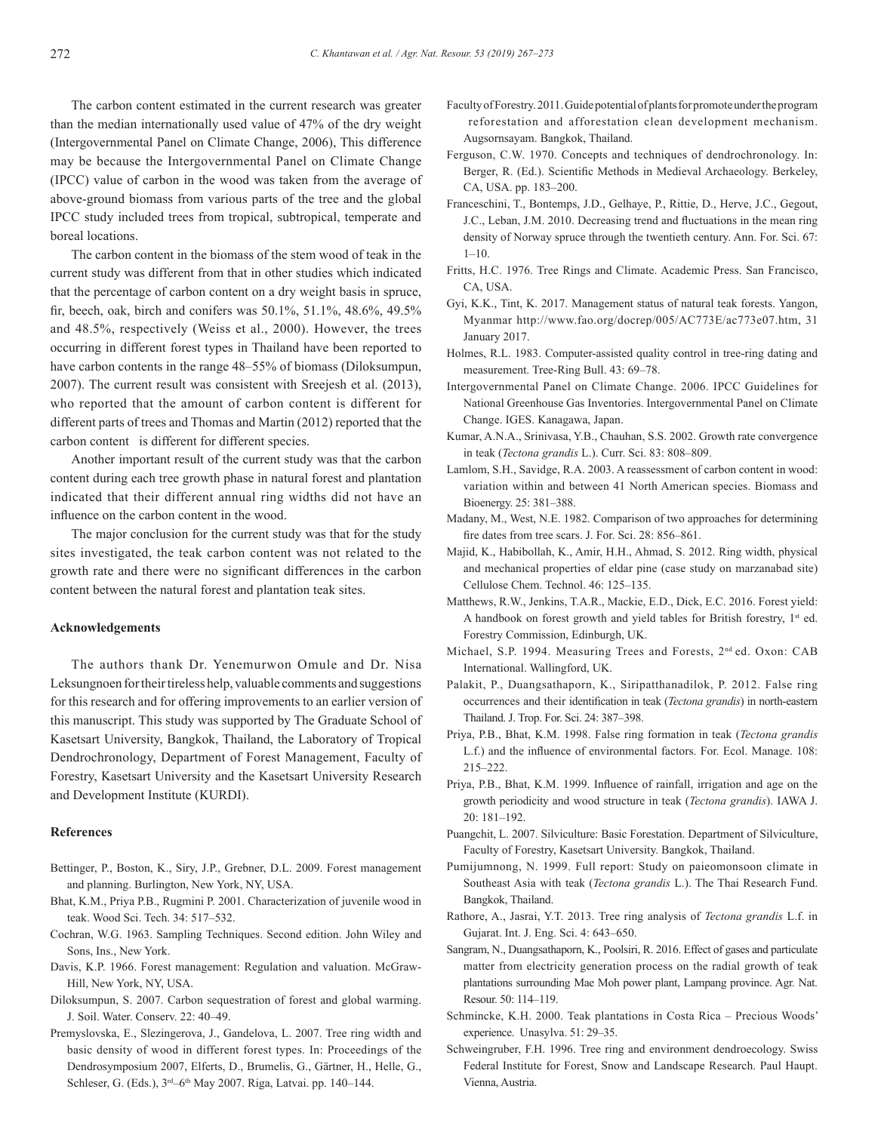The carbon content estimated in the current research was greater than the median internationally used value of 47% of the dry weight (Intergovernmental Panel on Climate Change, 2006), This difference may be because the Intergovernmental Panel on Climate Change (IPCC) value of carbon in the wood was taken from the average of above-ground biomass from various parts of the tree and the global IPCC study included trees from tropical, subtropical, temperate and boreal locations.

The carbon content in the biomass of the stem wood of teak in the current study was different from that in other studies which indicated that the percentage of carbon content on a dry weight basis in spruce, fir, beech, oak, birch and conifers was 50.1%, 51.1%, 48.6%, 49.5% and 48.5%, respectively (Weiss et al., 2000). However, the trees occurring in different forest types in Thailand have been reported to have carbon contents in the range 48–55% of biomass (Diloksumpun, 2007). The current result was consistent with Sreejesh et al. (2013), who reported that the amount of carbon content is different for different parts of trees and Thomas and Martin (2012) reported that the carbon content is different for different species.

Another important result of the current study was that the carbon content during each tree growth phase in natural forest and plantation indicated that their different annual ring widths did not have an influence on the carbon content in the wood.

The major conclusion for the current study was that for the study sites investigated, the teak carbon content was not related to the growth rate and there were no significant differences in the carbon content between the natural forest and plantation teak sites.

#### **Acknowledgements**

The authors thank Dr. Yenemurwon Omule and Dr. Nisa Leksungnoen for their tireless help, valuable comments and suggestions for this research and for offering improvements to an earlier version of this manuscript. This study was supported by The Graduate School of Kasetsart University, Bangkok, Thailand, the Laboratory of Tropical Dendrochronology, Department of Forest Management, Faculty of Forestry, Kasetsart University and the Kasetsart University Research and Development Institute (KURDI).

#### **References**

- Bettinger, P., Boston, K., Siry, J.P., Grebner, D.L. 2009. Forest management and planning. Burlington, New York, NY, USA.
- Bhat, K.M., Priya P.B., Rugmini P. 2001. Characterization of juvenile wood in teak. Wood Sci. Tech. 34: 517–532.
- Cochran, W.G. 1963. Sampling Techniques. Second edition. John Wiley and Sons, Ins., New York.
- Davis, K.P. 1966. Forest management: Regulation and valuation. McGraw-Hill, New York, NY, USA.
- Diloksumpun, S. 2007. Carbon sequestration of forest and global warming. J. Soil. Water. Conserv. 22: 40–49.
- Premyslovska, E., Slezingerova, J., Gandelova, L. 2007. Tree ring width and basic density of wood in different forest types. In: Proceedings of the Dendrosymposium 2007, Elferts, D., Brumelis, G., Gärtner, H., Helle, G., Schleser, G. (Eds.), 3rd–6th May 2007. Riga, Latvai. pp. 140–144.
- Faculty of Forestry. 2011. Guide potential of plants for promote under the program reforestation and afforestation clean development mechanism. Augsornsayam. Bangkok, Thailand.
- Ferguson, C.W. 1970. Concepts and techniques of dendrochronology. In: Berger, R. (Ed.). Scientific Methods in Medieval Archaeology. Berkeley, CA, USA. pp. 183–200.
- Franceschini, T., Bontemps, J.D., Gelhaye, P., Rittie, D., Herve, J.C., Gegout, J.C., Leban, J.M. 2010. Decreasing trend and fluctuations in the mean ring density of Norway spruce through the twentieth century. Ann. For. Sci. 67: 1–10.
- Fritts, H.C. 1976. Tree Rings and Climate. Academic Press. San Francisco, CA, USA.
- Gyi, K.K., Tint, K. 2017. Management status of natural teak forests. Yangon, Myanmar http://www.fao.org/docrep/005/AC773E/ac773e07.htm, 31 January 2017.
- Holmes, R.L. 1983. Computer-assisted quality control in tree-ring dating and measurement. Tree-Ring Bull. 43: 69–78.
- Intergovernmental Panel on Climate Change. 2006. IPCC Guidelines for National Greenhouse Gas Inventories. Intergovernmental Panel on Climate Change. IGES. Kanagawa, Japan.
- Kumar, A.N.A., Srinivasa, Y.B., Chauhan, S.S. 2002. Growth rate convergence in teak (*Tectona grandis* L.). Curr. Sci. 83: 808–809.
- Lamlom, S.H., Savidge, R.A. 2003. A reassessment of carbon content in wood: variation within and between 41 North American species. Biomass and Bioenergy. 25: 381–388.
- Madany, M., West, N.E. 1982. Comparison of two approaches for determining fire dates from tree scars. J. For. Sci. 28: 856–861.
- Majid, K., Habibollah, K., Amir, H.H., Ahmad, S. 2012. Ring width, physical and mechanical properties of eldar pine (case study on marzanabad site) Cellulose Chem. Technol. 46: 125–135.
- Matthews, R.W., Jenkins, T.A.R., Mackie, E.D., Dick, E.C. 2016. Forest yield: A handbook on forest growth and yield tables for British forestry, 1<sup>st</sup> ed. Forestry Commission, Edinburgh, UK.
- Michael, S.P. 1994. Measuring Trees and Forests, 2nd ed. Oxon: CAB International. Wallingford, UK.
- Palakit, P., Duangsathaporn, K., Siripatthanadilok, P. 2012. False ring occurrences and their identification in teak (*Tectona grandis*) in north-eastern Thailand. J. Trop. For. Sci. 24: 387–398.
- Priya, P.B., Bhat, K.M. 1998. False ring formation in teak (*Tectona grandis* L.f.) and the influence of environmental factors. For. Ecol. Manage. 108: 215–222.
- Priya, P.B., Bhat, K.M. 1999. Influence of rainfall, irrigation and age on the growth periodicity and wood structure in teak (*Tectona grandis*). IAWA J. 20: 181–192.
- Puangchit, L. 2007. Silviculture: Basic Forestation. Department of Silviculture, Faculty of Forestry, Kasetsart University. Bangkok, Thailand.
- Pumijumnong, N. 1999. Full report: Study on paieomonsoon climate in Southeast Asia with teak (*Tectona grandis* L.). The Thai Research Fund. Bangkok, Thailand.
- Rathore, A., Jasrai, Y.T. 2013. Tree ring analysis of *Tectona grandis* L.f. in Gujarat. Int. J. Eng. Sci. 4: 643–650.
- Sangram, N., Duangsathaporn, K., Poolsiri, R. 2016. Effect of gases and particulate matter from electricity generation process on the radial growth of teak plantations surrounding Mae Moh power plant, Lampang province. Agr. Nat. Resour. 50: 114–119.
- Schmincke, K.H. 2000. Teak plantations in Costa Rica Precious Woods' experience. Unasylva. 51: 29–35.
- Schweingruber, F.H. 1996. Tree ring and environment dendroecology. Swiss Federal Institute for Forest, Snow and Landscape Research. Paul Haupt. Vienna, Austria.